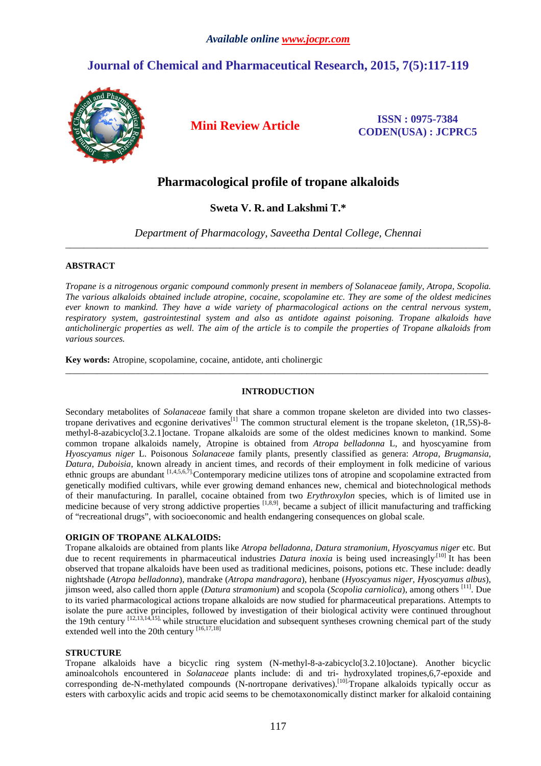# **Journal of Chemical and Pharmaceutical Research, 2015, 7(5):117-119**



**Mini Review Article ISSN : 0975-7384 CODEN(USA) : JCPRC5**

# **Pharmacological profile of tropane alkaloids**

**Sweta V. R. and Lakshmi T.\***

*Department of Pharmacology, Saveetha Dental College, Chennai*  \_\_\_\_\_\_\_\_\_\_\_\_\_\_\_\_\_\_\_\_\_\_\_\_\_\_\_\_\_\_\_\_\_\_\_\_\_\_\_\_\_\_\_\_\_\_\_\_\_\_\_\_\_\_\_\_\_\_\_\_\_\_\_\_\_\_\_\_\_\_\_\_\_\_\_\_\_\_\_\_\_\_\_\_\_\_\_\_\_\_\_\_\_

# **ABSTRACT**

*Tropane is a nitrogenous organic compound commonly present in members of Solanaceae family, Atropa, Scopolia. The various alkaloids obtained include atropine, cocaine, scopolamine etc. They are some of the oldest medicines ever known to mankind. They have a wide variety of pharmacological actions on the central nervous system, respiratory system, gastrointestinal system and also as antidote against poisoning. Tropane alkaloids have anticholinergic properties as well. The aim of the article is to compile the properties of Tropane alkaloids from various sources.* 

**Key words:** Atropine, scopolamine, cocaine, antidote, anti cholinergic

# **INTRODUCTION**

\_\_\_\_\_\_\_\_\_\_\_\_\_\_\_\_\_\_\_\_\_\_\_\_\_\_\_\_\_\_\_\_\_\_\_\_\_\_\_\_\_\_\_\_\_\_\_\_\_\_\_\_\_\_\_\_\_\_\_\_\_\_\_\_\_\_\_\_\_\_\_\_\_\_\_\_\_\_\_\_\_\_\_\_\_\_\_\_\_\_\_\_\_

Secondary metabolites of *Solanaceae* family that share a common tropane skeleton are divided into two classestropane derivatives and ecgonine derivatives<sup>[1]</sup> The common structural element is the tropane skeleton,  $(1R,5S)$ -8methyl-8-azabicyclo[3.2.1]octane. Tropane alkaloids are some of the oldest medicines known to mankind. Some common tropane alkaloids namely, Atropine is obtained from *Atropa belladonna* L, and hyoscyamine from *Hyoscyamus niger* L. Poisonous *Solanaceae* family plants, presently classified as genera: *Atropa*, *Brugmansia*, *Datura*, *Duboisia*, known already in ancient times, and records of their employment in folk medicine of various ethnic groups are abundant [1,4,5,6,7]. Contemporary medicine utilizes tons of atropine and scopolamine extracted from genetically modified cultivars, while ever growing demand enhances new, chemical and biotechnological methods of their manufacturing. In parallel, cocaine obtained from two *Erythroxylon* species, which is of limited use in medicine because of very strong addictive properties  $[1,8,9]$ , became a subject of illicit manufacturing and trafficking of "recreational drugs", with socioeconomic and health endangering consequences on global scale.

# **ORIGIN OF TROPANE ALKALOIDS:**

Tropane alkaloids are obtained from plants like *Atropa belladonna, Datura stramonium, Hyoscyamus niger* etc. But due to recent requirements in pharmaceutical industries *Datura inoxia* is being used increasingly<sup>[10]</sup> It has been observed that tropane alkaloids have been used as traditional medicines, poisons, potions etc. These include: deadly nightshade (*Atropa belladonna*), mandrake (*Atropa mandragora*), henbane (*Hyoscyamus niger*, *Hyoscyamus albus*), jimson weed, also called thorn apple (*Datura stramonium*) and scopola (*Scopolia carniolica*), among others [11]. Due to its varied pharmacological actions tropane alkaloids are now studied for pharmaceutical preparations. Attempts to isolate the pure active principles, followed by investigation of their biological activity were continued throughout the 19th century [12,13,14,15], while structure elucidation and subsequent syntheses crowning chemical part of the study extended well into the 20th century [16,17,18]

# **STRUCTURE**

Tropane alkaloids have a bicyclic ring system (N-methyl-8-a-zabicyclo[3.2.10]octane). Another bicyclic aminoalcohols encountered in *Solanaceae* plants include: di and tri- hydroxylated tropines,6,7-epoxide and corresponding de-N-methylated compounds (N-nortropane derivatives).[10].Tropane alkaloids typically occur as esters with carboxylic acids and tropic acid seems to be chemotaxonomically distinct marker for alkaloid containing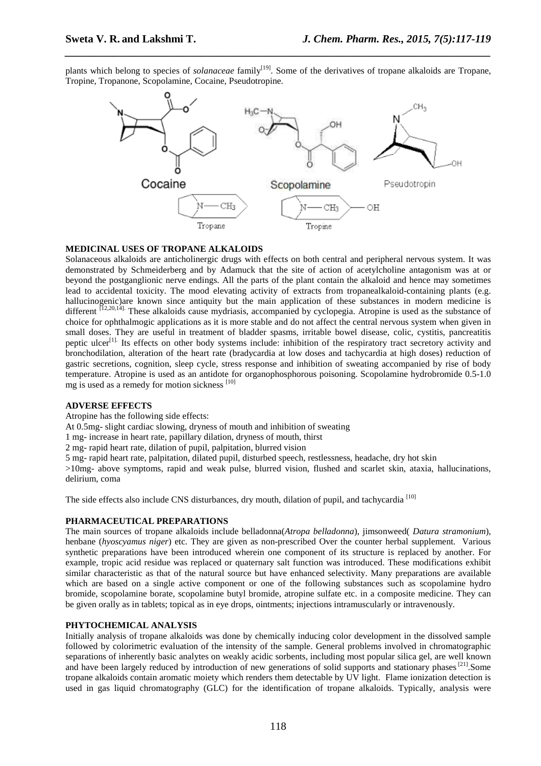plants which belong to species of *solanaceae* family<sup>[19]</sup>. Some of the derivatives of tropane alkaloids are Tropane, Tropine, Tropanone, Scopolamine, Cocaine, Pseudotropine.

*\_\_\_\_\_\_\_\_\_\_\_\_\_\_\_\_\_\_\_\_\_\_\_\_\_\_\_\_\_\_\_\_\_\_\_\_\_\_\_\_\_\_\_\_\_\_\_\_\_\_\_\_\_\_\_\_\_\_\_\_\_\_\_\_\_\_\_\_\_\_\_\_\_\_\_\_\_\_*



#### **MEDICINAL USES OF TROPANE ALKALOIDS**

Solanaceous alkaloids are anticholinergic drugs with effects on both central and peripheral nervous system. It was demonstrated by Schmeiderberg and by Adamuck that the site of action of acetylcholine antagonism was at or beyond the postganglionic nerve endings. All the parts of the plant contain the alkaloid and hence may sometimes lead to accidental toxicity. The mood elevating activity of extracts from tropanealkaloid-containing plants (e.g. hallucinogenic)are known since antiquity but the main application of these substances in modern medicine is different  $\overline{1}^{12,20,14]}$ . These alkaloids cause mydriasis, accompanied by cyclopegia. Atropine is used as the substance of choice for ophthalmogic applications as it is more stable and do not affect the central nervous system when given in small doses. They are useful in treatment of bladder spasms, irritable bowel disease, colic, cystitis, pancreatitis peptic ulcer<sup>[1].</sup> Its effects on other body systems include: inhibition of the respiratory tract secretory activity and bronchodilation, alteration of the heart rate (bradycardia at low doses and tachycardia at high doses) reduction of gastric secretions, cognition, sleep cycle, stress response and inhibition of sweating accompanied by rise of body temperature. Atropine is used as an antidote for organophosphorous poisoning. Scopolamine hydrobromide 0.5-1.0 mg is used as a remedy for motion sickness [10]

### **ADVERSE EFFECTS**

Atropine has the following side effects:

At 0.5mg- slight cardiac slowing, dryness of mouth and inhibition of sweating

1 mg- increase in heart rate, papillary dilation, dryness of mouth, thirst

2 mg- rapid heart rate, dilation of pupil, palpitation, blurred vision

5 mg- rapid heart rate, palpitation, dilated pupil, disturbed speech, restlessness, headache, dry hot skin

>10mg- above symptoms, rapid and weak pulse, blurred vision, flushed and scarlet skin, ataxia, hallucinations, delirium, coma

The side effects also include CNS disturbances, dry mouth, dilation of pupil, and tachycardia<sup>[10]</sup>

#### **PHARMACEUTICAL PREPARATIONS**

The main sources of tropane alkaloids include belladonna(*Atropa belladonna*), jimsonweed( *Datura stramonium*), henbane (*hyoscyamus niger*) etc. They are given as non-prescribed Over the counter herbal supplement. Various synthetic preparations have been introduced wherein one component of its structure is replaced by another. For example, tropic acid residue was replaced or quaternary salt function was introduced. These modifications exhibit similar characteristic as that of the natural source but have enhanced selectivity. Many preparations are available which are based on a single active component or one of the following substances such as scopolamine hydro bromide, scopolamine borate, scopolamine butyl bromide, atropine sulfate etc. in a composite medicine. They can be given orally as in tablets; topical as in eye drops, ointments; injections intramuscularly or intravenously.

# **PHYTOCHEMICAL ANALYSIS**

Initially analysis of tropane alkaloids was done by chemically inducing color development in the dissolved sample followed by colorimetric evaluation of the intensity of the sample. General problems involved in chromatographic separations of inherently basic analytes on weakly acidic sorbents, including most popular silica gel, are well known and have been largely reduced by introduction of new generations of solid supports and stationary phases [21]. Some tropane alkaloids contain aromatic moiety which renders them detectable by UV light. Flame ionization detection is used in gas liquid chromatography (GLC) for the identification of tropane alkaloids. Typically, analysis were